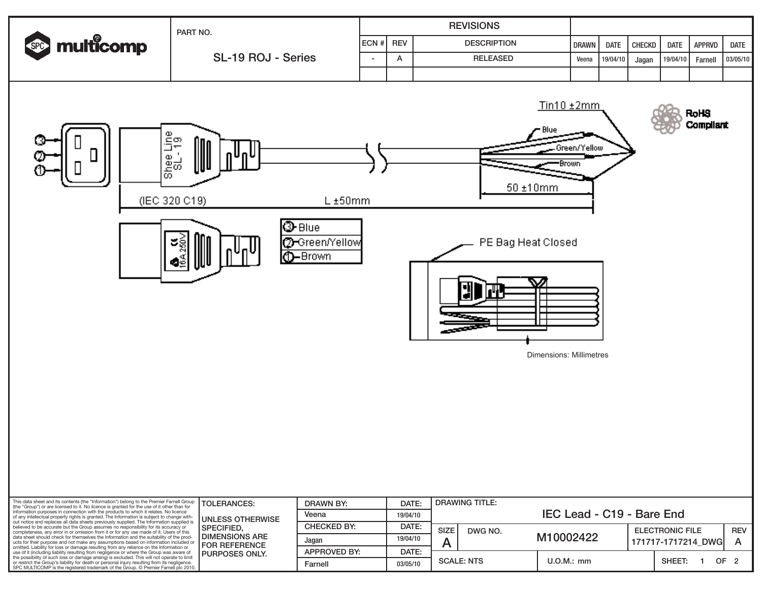

Dimensions: Millimetres

| This data sheet and its contents (the "Information") belong to the Premier Farnell Group<br>(the "Group") or are licensed to it. No licence is granted for the use of it other than for<br>information purposes in connection with the products to which it relates. No licence<br>of any intellectual property rights is granted. The Information is subject to change with-<br>out notice and replaces all data sheets previously supplied. The Information supplied i<br>believed to be accurate but the Group assumes no responsibility for its accuracy or<br>completeness, any error in or omission from it or for any use made of it. Users of this<br>data sheet should check for themselves the Information and the suitability of the prod-<br>ucts for their purpose and not make any assumptions based on information included or<br>omitted. Liability for loss or damage resulting from any reliance on the Information or<br>use of it (including liability resulting from negligence or where the Group was aware of<br>the possibility of such loss or damage arising) is excluded. This will not operate to limit<br>or restrict the Group's liability for death or personal injury resulting from its negligence.<br>SPC MULTICOMP is the registered trademark of the Group. © Premier Farnell plc 2010. | <b>TOLERANCES:</b>                                                                                           | DRAWN BY:           | DATE:    | <b>DRAWING TITLE:</b>     |           |                        |            |  |
|-----------------------------------------------------------------------------------------------------------------------------------------------------------------------------------------------------------------------------------------------------------------------------------------------------------------------------------------------------------------------------------------------------------------------------------------------------------------------------------------------------------------------------------------------------------------------------------------------------------------------------------------------------------------------------------------------------------------------------------------------------------------------------------------------------------------------------------------------------------------------------------------------------------------------------------------------------------------------------------------------------------------------------------------------------------------------------------------------------------------------------------------------------------------------------------------------------------------------------------------------------------------------------------------------------------------------------|--------------------------------------------------------------------------------------------------------------|---------------------|----------|---------------------------|-----------|------------------------|------------|--|
|                                                                                                                                                                                                                                                                                                                                                                                                                                                                                                                                                                                                                                                                                                                                                                                                                                                                                                                                                                                                                                                                                                                                                                                                                                                                                                                             | <b>UNLESS OTHERWISE</b><br>l SPECIFIED.<br><b>DIMENSIONS ARE</b><br>I FOR REFERENCE<br><b>PURPOSES ONLY.</b> | Veena               | 19/04/10 | IEC Lead - C19 - Bare End |           |                        |            |  |
|                                                                                                                                                                                                                                                                                                                                                                                                                                                                                                                                                                                                                                                                                                                                                                                                                                                                                                                                                                                                                                                                                                                                                                                                                                                                                                                             |                                                                                                              | <b>CHECKED BY:</b>  | DATE:    | <b>SIZE</b><br>DWG NO.    |           | <b>ELECTRONIC FILE</b> | <b>REV</b> |  |
|                                                                                                                                                                                                                                                                                                                                                                                                                                                                                                                                                                                                                                                                                                                                                                                                                                                                                                                                                                                                                                                                                                                                                                                                                                                                                                                             |                                                                                                              | Jagan               | 19/04/10 |                           | M10002422 | 171717-1717214 DWGI    |            |  |
|                                                                                                                                                                                                                                                                                                                                                                                                                                                                                                                                                                                                                                                                                                                                                                                                                                                                                                                                                                                                                                                                                                                                                                                                                                                                                                                             |                                                                                                              | <b>APPROVED BY:</b> | DATE:    |                           |           |                        |            |  |
|                                                                                                                                                                                                                                                                                                                                                                                                                                                                                                                                                                                                                                                                                                                                                                                                                                                                                                                                                                                                                                                                                                                                                                                                                                                                                                                             |                                                                                                              | Farnell             | 03/05/10 | <b>SCALE: NTS</b>         | U.O.M.:mm | SHEET:                 | OF.        |  |